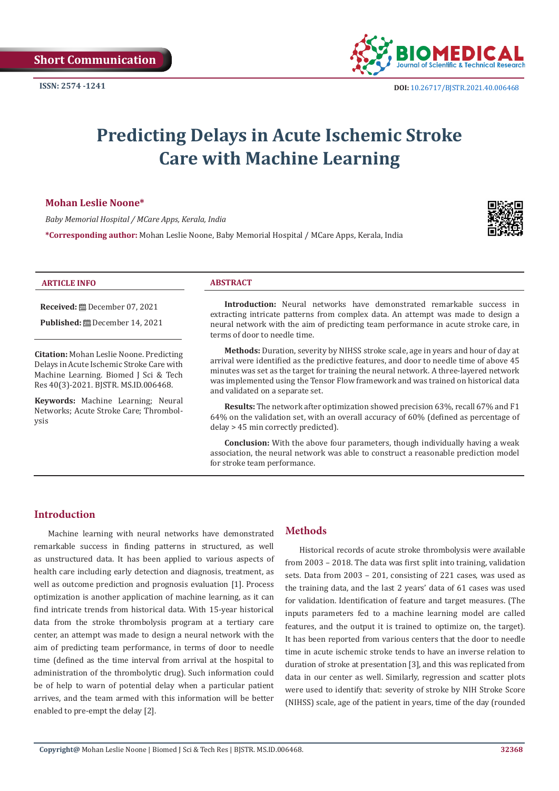

# **Predicting Delays in Acute Ischemic Stroke Care with Machine Learning**

# **Mohan Leslie Noone\***

*Baby Memorial Hospital / MCare Apps, Kerala, India*

**\*Corresponding author:** Mohan Leslie Noone, Baby Memorial Hospital / MCare Apps, Kerala, India



#### **ARTICLE INFO ABSTRACT**

**Received:** December 07, 2021

**Published:** December 14, 2021

**Citation:** Mohan Leslie Noone. Predicting Delays in Acute Ischemic Stroke Care with Machine Learning. Biomed J Sci & Tech Res 40(3)-2021. BJSTR. MS.ID.006468.

**Keywords:** Machine Learning; Neural Networks; Acute Stroke Care; Thrombolysis

**Introduction:** Neural networks have demonstrated remarkable success in extracting intricate patterns from complex data. An attempt was made to design a neural network with the aim of predicting team performance in acute stroke care, in terms of door to needle time.

**Methods:** Duration, severity by NIHSS stroke scale, age in years and hour of day at arrival were identified as the predictive features, and door to needle time of above 45 minutes was set as the target for training the neural network. A three-layered network was implemented using the Tensor Flow framework and was trained on historical data and validated on a separate set.

**Results:** The network after optimization showed precision 63%, recall 67% and F1 64% on the validation set, with an overall accuracy of 60% (defined as percentage of delay > 45 min correctly predicted).

**Conclusion:** With the above four parameters, though individually having a weak association, the neural network was able to construct a reasonable prediction model for stroke team performance.

# **Introduction**

Machine learning with neural networks have demonstrated remarkable success in finding patterns in structured, as well as unstructured data. It has been applied to various aspects of health care including early detection and diagnosis, treatment, as well as outcome prediction and prognosis evaluation [1]. Process optimization is another application of machine learning, as it can find intricate trends from historical data. With 15-year historical data from the stroke thrombolysis program at a tertiary care center, an attempt was made to design a neural network with the aim of predicting team performance, in terms of door to needle time (defined as the time interval from arrival at the hospital to administration of the thrombolytic drug). Such information could be of help to warn of potential delay when a particular patient arrives, and the team armed with this information will be better enabled to pre-empt the delay [2].

# **Methods**

Historical records of acute stroke thrombolysis were available from 2003 – 2018. The data was first split into training, validation sets. Data from 2003 – 201, consisting of 221 cases, was used as the training data, and the last 2 years' data of 61 cases was used for validation. Identification of feature and target measures. (The inputs parameters fed to a machine learning model are called features, and the output it is trained to optimize on, the target). It has been reported from various centers that the door to needle time in acute ischemic stroke tends to have an inverse relation to duration of stroke at presentation [3], and this was replicated from data in our center as well. Similarly, regression and scatter plots were used to identify that: severity of stroke by NIH Stroke Score (NIHSS) scale, age of the patient in years, time of the day (rounded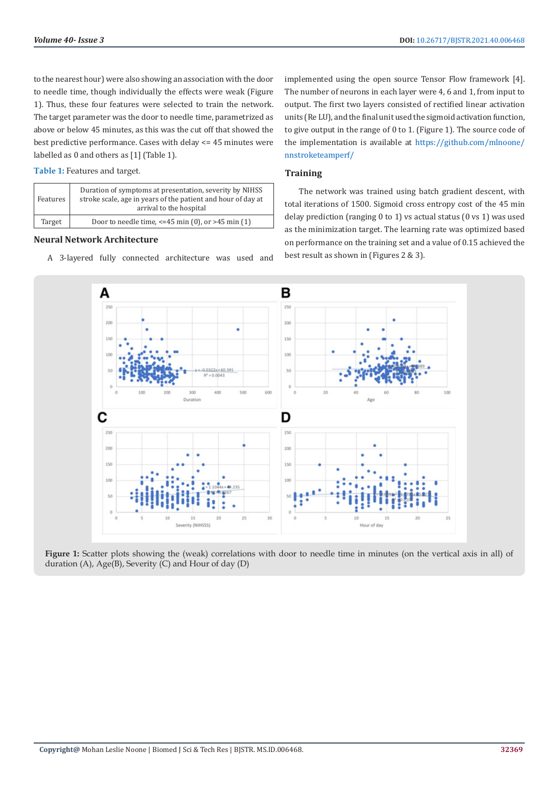to the nearest hour) were also showing an association with the door to needle time, though individually the effects were weak (Figure 1). Thus, these four features were selected to train the network. The target parameter was the door to needle time, parametrized as above or below 45 minutes, as this was the cut off that showed the best predictive performance. Cases with delay <= 45 minutes were labelled as 0 and others as [1] (Table 1).

| Table 1: Features and target. |  |
|-------------------------------|--|
|-------------------------------|--|

| Features | Duration of symptoms at presentation, severity by NIHSS<br>stroke scale, age in years of the patient and hour of day at<br>arrival to the hospital |
|----------|----------------------------------------------------------------------------------------------------------------------------------------------------|
| Target   | Door to needle time, $\leq$ -45 min (0), or >45 min (1)                                                                                            |

### **Neural Network Architecture**

A 3-layered fully connected architecture was used and

implemented using the open source Tensor Flow framework [4]. The number of neurons in each layer were 4, 6 and 1, from input to output. The first two layers consisted of rectified linear activation units (Re LU), and the final unit used the sigmoid activation function, to give output in the range of 0 to 1. (Figure 1). The source code of the implementation is available at [https://github.com/mlnoone/](https://github.com/mlnoone/nnstroketeamperf/) [nnstroketeamperf/](https://github.com/mlnoone/nnstroketeamperf/)

#### **Training**

The network was trained using batch gradient descent, with total iterations of 1500. Sigmoid cross entropy cost of the 45 min delay prediction (ranging 0 to 1) vs actual status (0 vs 1) was used as the minimization target. The learning rate was optimized based on performance on the training set and a value of 0.15 achieved the best result as shown in (Figures 2 & 3).



**Figure 1:** Scatter plots showing the (weak) correlations with door to needle time in minutes (on the vertical axis in all) of duration (A), Age(B), Severity (C) and Hour of day (D)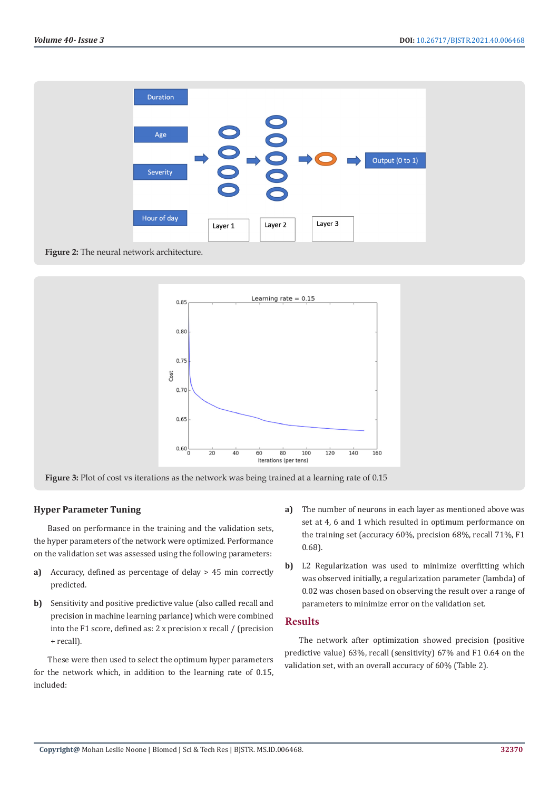



#### **Figure 3:** Plot of cost vs iterations as the network was being trained at a learning rate of 0.15

### **Hyper Parameter Tuning**

Based on performance in the training and the validation sets, the hyper parameters of the network were optimized. Performance on the validation set was assessed using the following parameters:

- **a)** Accuracy, defined as percentage of delay > 45 min correctly predicted.
- **b)** Sensitivity and positive predictive value (also called recall and precision in machine learning parlance) which were combined into the F1 score, defined as: 2 x precision x recall / (precision + recall).

These were then used to select the optimum hyper parameters for the network which, in addition to the learning rate of 0.15, included:

- **a)** The number of neurons in each layer as mentioned above was set at 4, 6 and 1 which resulted in optimum performance on the training set (accuracy 60%, precision 68%, recall 71%, F1 0.68).
- **b)** L2 Regularization was used to minimize overfitting which was observed initially, a regularization parameter (lambda) of 0.02 was chosen based on observing the result over a range of parameters to minimize error on the validation set.

# **Results**

The network after optimization showed precision (positive predictive value) 63%, recall (sensitivity) 67% and F1 0.64 on the validation set, with an overall accuracy of 60% (Table 2).